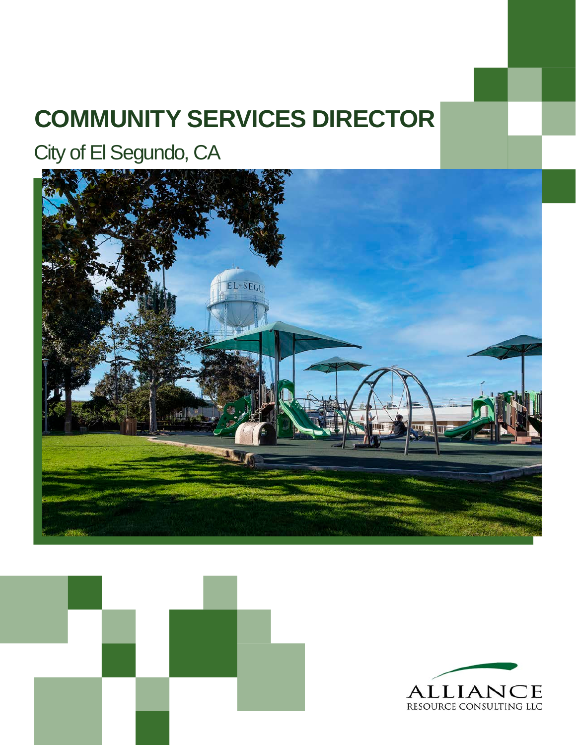## **COMMUNITY SERVICES DIRECTOR**

City of El Segundo, CA





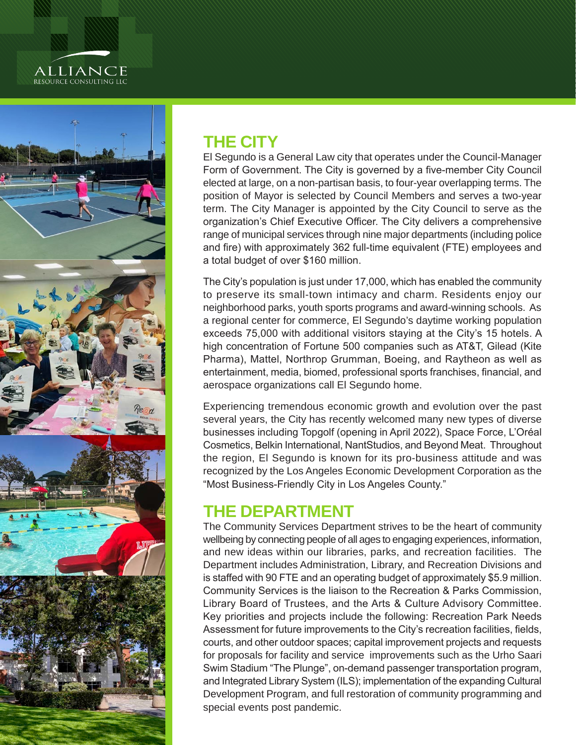# ALLIANCE<br>resource consulting llc



#### **THE CITY**

El Segundo is a General Law city that operates under the Council-Manager Form of Government. The City is governed by a five-member City Council elected at large, on a non-partisan basis, to four-year overlapping terms. The position of Mayor is selected by Council Members and serves a two-year term. The City Manager is appointed by the City Council to serve as the organization's Chief Executive Officer. The City delivers a comprehensive range of municipal services through nine major departments (including police and fire) with approximately 362 full-time equivalent (FTE) employees and a total budget of over \$160 million.

The City's population is just under 17,000, which has enabled the community to preserve its small-town intimacy and charm. Residents enjoy our neighborhood parks, youth sports programs and award-winning schools. As a regional center for commerce, El Segundo's daytime working population exceeds 75,000 with additional visitors staying at the City's 15 hotels. A high concentration of Fortune 500 companies such as AT&T, Gilead (Kite Pharma), Mattel, Northrop Grumman, Boeing, and Raytheon as well as entertainment, media, biomed, professional sports franchises, financial, and aerospace organizations call El Segundo home.

Experiencing tremendous economic growth and evolution over the past several years, the City has recently welcomed many new types of diverse businesses including Topgolf (opening in April 2022), Space Force, L'Oréal Cosmetics, Belkin International, NantStudios, and Beyond Meat. Throughout the region, El Segundo is known for its pro-business attitude and was recognized by the Los Angeles Economic Development Corporation as the "Most Business-Friendly City in Los Angeles County."

#### **THE DEPARTMENT**

The Community Services Department strives to be the heart of community wellbeing by connecting people of all ages to engaging experiences, information, and new ideas within our libraries, parks, and recreation facilities. The Department includes Administration, Library, and Recreation Divisions and is staffed with 90 FTE and an operating budget of approximately \$5.9 million. Community Services is the liaison to the Recreation & Parks Commission, Library Board of Trustees, and the Arts & Culture Advisory Committee. Key priorities and projects include the following: Recreation Park Needs Assessment for future improvements to the City's recreation facilities, fields, courts, and other outdoor spaces; capital improvement projects and requests for proposals for facility and service improvements such as the Urho Saari Swim Stadium "The Plunge", on-demand passenger transportation program, and Integrated Library System (ILS); implementation of the expanding Cultural Development Program, and full restoration of community programming and special events post pandemic.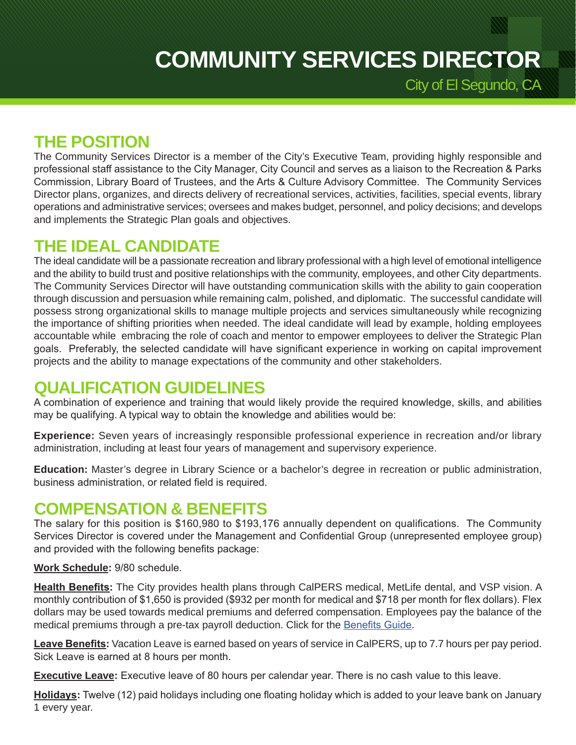City of El Segundo, CA

**THE POSITION**

The Community Services Director is a member of the City's Executive Team, providing highly responsible and professional staff assistance to the City Manager, City Council and serves as a liaison to the Recreation & Parks Commission, Library Board of Trustees, and the Arts & Culture Advisory Committee. The Community Services Director plans, organizes, and directs delivery of recreational services, activities, facilities, special events, library operations and administrative services; oversees and makes budget, personnel, and policy decisions; and develops and implements the Strategic Plan goals and objectives.

#### **THE IDEAL CANDIDATE**

The ideal candidate will be a passionate recreation and library professional with a high level of emotional intelligence and the ability to build trust and positive relationships with the community, employees, and other City departments. The Community Services Director will have outstanding communication skills with the ability to gain cooperation through discussion and persuasion while remaining calm, polished, and diplomatic. The successful candidate will possess strong organizational skills to manage multiple projects and services simultaneously while recognizing the importance of shifting priorities when needed. The ideal candidate will lead by example, holding employees accountable while embracing the role of coach and mentor to empower employees to deliver the Strategic Plan goals. Preferably, the selected candidate will have significant experience in working on capital improvement projects and the ability to manage expectations of the community and other stakeholders.

#### **QUALIFICATION GUIDELINES**

A combination of experience and training that would likely provide the required knowledge, skills, and abilities may be qualifying. A typical way to obtain the knowledge and abilities would be:

**Experience:** Seven years of increasingly responsible professional experience in recreation and/or library administration, including at least four years of management and supervisory experience.

**Education:** Master's degree in Library Science or a bachelor's degree in recreation or public administration, business administration, or related field is required.

#### **COMPENSATION & BENEFITS**

The salary for this position is \$160,980 to \$193,176 annually dependent on qualifications. The Community Services Director is covered under the Management and Confidential Group (unrepresented employee group) and provided with the following benefits package:

**Work Schedule:** 9/80 schedule.

**Health Benefits:** The City provides health plans through CalPERS medical, MetLife dental, and VSP vision. A monthly contribution of \$1,650 is provided (\$932 per month for medical and \$718 per month for flex dollars). Flex dollars may be used towards medical premiums and deferred compensation. Employees pay the balance of the medical premiums through a pre-tax payroll deduction. Click for the [Benefits Guide](https://www.flipsnack.com/burnham/city-of-el-segundo-2021-employee-benefits-guide/full-view.html).

**Leave Benefits:** Vacation Leave is earned based on years of service in CalPERS, up to 7.7 hours per pay period. Sick Leave is earned at 8 hours per month.

**Executive Leave:** Executive leave of 80 hours per calendar year. There is no cash value to this leave.

**Holidays:** Twelve (12) paid holidays including one floating holiday which is added to your leave bank on January 1 every year.